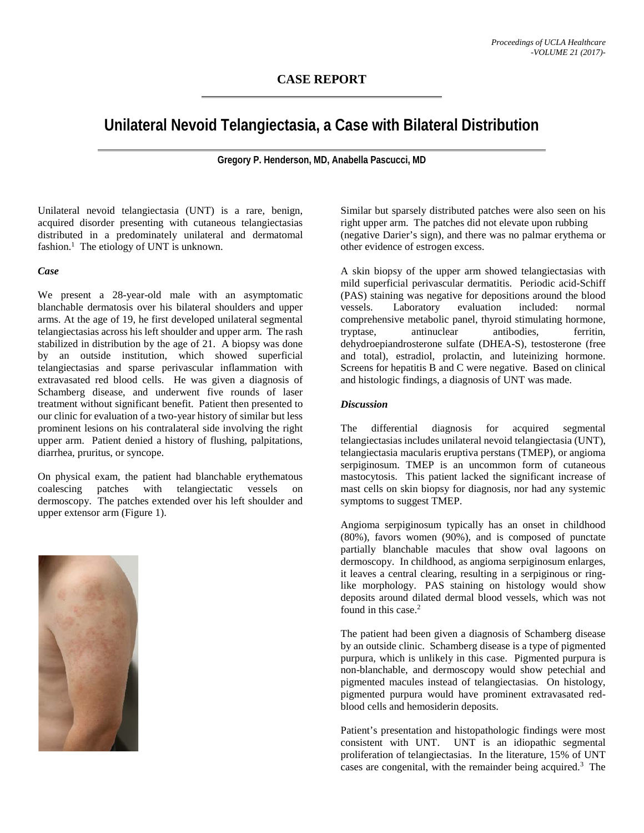## **CASE REPORT**

# **Unilateral Nevoid Telangiectasia, a Case with Bilateral Distribution**

**Gregory P. Henderson, MD, Anabella Pascucci, MD**

Unilateral nevoid telangiectasia (UNT) is a rare, benign, acquired disorder presenting with cutaneous telangiectasias distributed in a predominately unilateral and dermatomal fashion.<sup>1</sup> The etiology of UNT is unknown.

#### *Case*

We present a 28-year-old male with an asymptomatic blanchable dermatosis over his bilateral shoulders and upper arms. At the age of 19, he first developed unilateral segmental telangiectasias across his left shoulder and upper arm. The rash stabilized in distribution by the age of 21. A biopsy was done by an outside institution, which showed superficial telangiectasias and sparse perivascular inflammation with extravasated red blood cells. He was given a diagnosis of Schamberg disease, and underwent five rounds of laser treatment without significant benefit. Patient then presented to our clinic for evaluation of a two-year history of similar but less prominent lesions on his contralateral side involving the right upper arm. Patient denied a history of flushing, palpitations, diarrhea, pruritus, or syncope.

On physical exam, the patient had blanchable erythematous coalescing patches with telangiectatic vessels on dermoscopy. The patches extended over his left shoulder and upper extensor arm (Figure 1).



Similar but sparsely distributed patches were also seen on his right upper arm. The patches did not elevate upon rubbing (negative Darier's sign), and there was no palmar erythema or other evidence of estrogen excess.

A skin biopsy of the upper arm showed telangiectasias with mild superficial perivascular dermatitis. Periodic acid-Schiff (PAS) staining was negative for depositions around the blood vessels. Laboratory evaluation included: normal comprehensive metabolic panel, thyroid stimulating hormone, tryptase, antinuclear antibodies, ferritin, dehydroepiandrosterone sulfate (DHEA-S), testosterone (free and total), estradiol, prolactin, and luteinizing hormone. Screens for hepatitis B and C were negative. Based on clinical and histologic findings, a diagnosis of UNT was made.

### *Discussion*

The differential diagnosis for acquired segmental telangiectasias includes unilateral nevoid telangiectasia (UNT), telangiectasia macularis eruptiva perstans (TMEP), or angioma serpiginosum. TMEP is an uncommon form of cutaneous mastocytosis. This patient lacked the significant increase of mast cells on skin biopsy for diagnosis, nor had any systemic symptoms to suggest TMEP.

Angioma serpiginosum typically has an onset in childhood (80%), favors women (90%), and is composed of punctate partially blanchable macules that show oval lagoons on dermoscopy. In childhood, as angioma serpiginosum enlarges, it leaves a central clearing, resulting in a serpiginous or ringlike morphology. PAS staining on histology would show deposits around dilated dermal blood vessels, which was not found in this case.<sup>2</sup>

The patient had been given a diagnosis of Schamberg disease by an outside clinic. Schamberg disease is a type of pigmented purpura, which is unlikely in this case. Pigmented purpura is non-blanchable, and dermoscopy would show petechial and pigmented macules instead of telangiectasias. On histology, pigmented purpura would have prominent extravasated redblood cells and hemosiderin deposits.

Patient's presentation and histopathologic findings were most consistent with UNT. UNT is an idiopathic segmental proliferation of telangiectasias. In the literature, 15% of UNT cases are congenital, with the remainder being acquired.<sup>3</sup> The